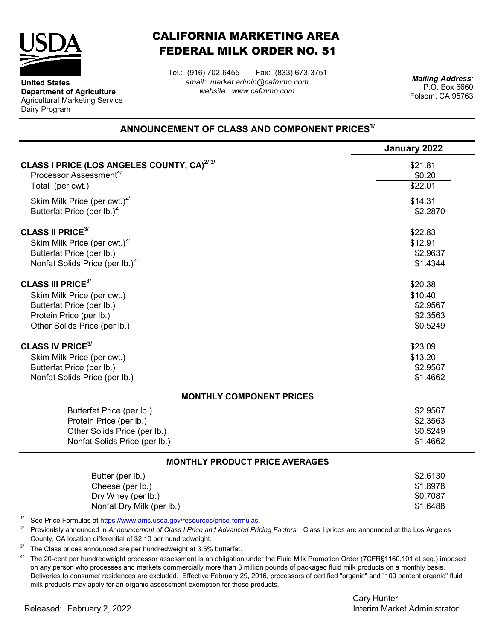

**United States**

Dairy Program

**Department of Agriculture** Agricultural Marketing Service

## CALIFORNIA MARKETING AREA FEDERAL MILK ORDER NO. 51

Tel.: (916) 702-6455 — Fax: (833) 673-3751 *email: market.admin@cafmmo.com website: www.cafmmo.com*

*Mailing Address:* P.O. Box 6660 Folsom, CA 95763

## **ANNOUNCEMENT OF CLASS AND COMPONENT PRICES1/**

|                                                                          | January 2022 |  |
|--------------------------------------------------------------------------|--------------|--|
| CLASS I PRICE (LOS ANGELES COUNTY, CA) <sup>2/3/</sup>                   | \$21.81      |  |
| Processor Assessment <sup>4/</sup>                                       | \$0.20       |  |
| Total (per cwt.)                                                         | \$22.01      |  |
| Skim Milk Price (per cwt.) $27$                                          | \$14.31      |  |
| Butterfat Price (per lb.) $^{27}$                                        | \$2.2870     |  |
| <b>CLASS II PRICE<sup>3/</sup></b>                                       | \$22.83      |  |
| Skim Milk Price (per cwt.) <sup>27</sup>                                 | \$12.91      |  |
| Butterfat Price (per lb.)                                                | \$2.9637     |  |
| Nonfat Solids Price (per lb.) $^{27}$                                    | \$1.4344     |  |
| <b>CLASS III PRICE<sup>3/</sup></b>                                      | \$20.38      |  |
| Skim Milk Price (per cwt.)                                               | \$10.40      |  |
| Butterfat Price (per lb.)                                                | \$2.9567     |  |
| Protein Price (per lb.)                                                  | \$2.3563     |  |
| Other Solids Price (per lb.)                                             | \$0.5249     |  |
| <b>CLASS IV PRICE<sup>3/</sup></b>                                       | \$23.09      |  |
| Skim Milk Price (per cwt.)                                               | \$13.20      |  |
| Butterfat Price (per lb.)                                                | \$2.9567     |  |
| Nonfat Solids Price (per lb.)                                            | \$1.4662     |  |
| <b>MONTHLY COMPONENT PRICES</b>                                          |              |  |
| Butterfat Price (per lb.)                                                | \$2.9567     |  |
| Protein Price (per lb.)                                                  | \$2.3563     |  |
| Other Solids Price (per lb.)                                             | \$0.5249     |  |
| Nonfat Solids Price (per lb.)                                            | \$1.4662     |  |
| <b>MONTHLY PRODUCT PRICE AVERAGES</b>                                    |              |  |
| Butter (per lb.)                                                         | \$2.6130     |  |
| Cheese (per lb.)                                                         | \$1.8978     |  |
| Dry Whey (per lb.)                                                       | \$0.7087     |  |
| Nonfat Dry Milk (per lb.)                                                | \$1.6488     |  |
| See Price Formulas at https://www.ams.usda.gov/resources/price-formulas. |              |  |

<sup>2/</sup> Previoulsly announced in *Announcement of Class I Price and Advanced Pricing Factors.* Class I prices are announced at the Los Angeles County, CA location differential of \$2.10 per hundredweight.

3/ The Class prices announced are per hundredweight at 3.5% butterfat.

4/ The 20-cent per hundredweight processor assessment is an obligation under the Fluid Milk Promotion Order (7CFR§1160.101 et seq.) imposed on any person who processes and markets commercially more than 3 million pounds of packaged fluid milk products on a monthly basis. Deliveries to consumer residences are excluded. Effective February 29, 2016, processors of certified "organic" and "100 percent organic" fluid milk products may apply for an organic assessment exemption for those products.